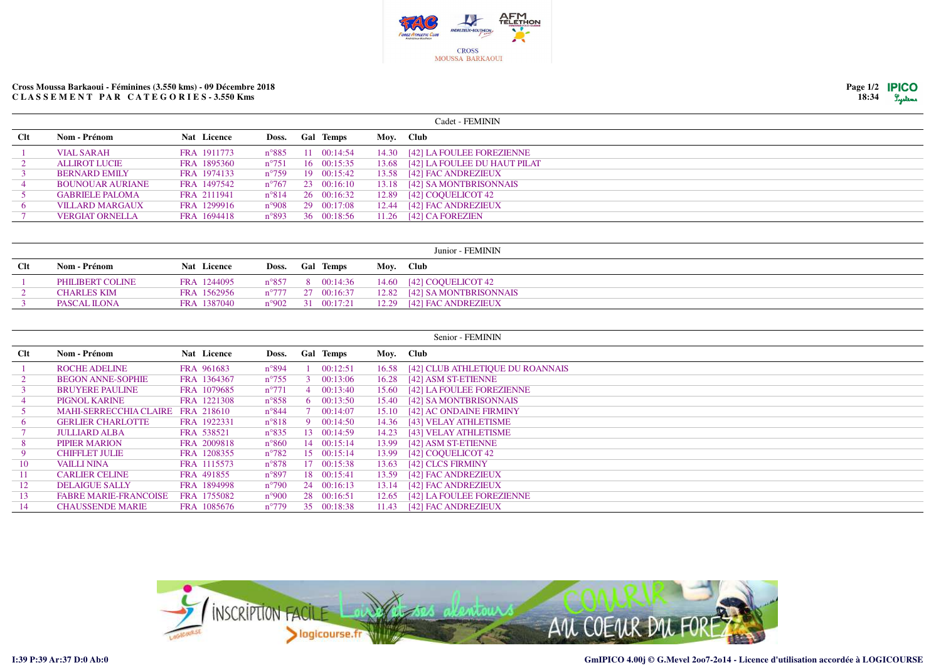

## **Cross Moussa Barkaoui - Féminines (3.550 kms) - 09 Décembre 2018C L A S S E M E N T P A R C A T E G O R I E S - 3.550 Kms**

| Page $1/2$ | <b>IPICO</b> |
|------------|--------------|
| 18:34      | Luters       |

|     |                         |             |                |                  |       | Cadet - FEMININ              |
|-----|-------------------------|-------------|----------------|------------------|-------|------------------------------|
| Clt | Nom - Prénom            | Nat Licence | Doss.          | <b>Gal Temps</b> |       | Moy. Club                    |
|     | <b>VIAL SARAH</b>       | FRA 1911773 | $n^{\circ}885$ | 11 00:14:54      | 14.30 | [42] LA FOULEE FOREZIENNE    |
|     | <b>ALLIROT LUCIE</b>    | FRA 1895360 | $n^{\circ}751$ | 16 00:15:35      | 13.68 | [42] LA FOULEE DU HAUT PILAT |
|     | <b>BERNARD EMILY</b>    | FRA 1974133 | $n^{\circ}759$ | 19 00:15:42      | 13.58 | [42] FAC ANDREZIEUX          |
|     | <b>BOUNOUAR AURIANE</b> | FRA 1497542 | $n^{\circ}767$ | 23 00:16:10      | 13.18 | [42] SA MONTBRISONNAIS       |
|     | <b>GABRIELE PALOMA</b>  | FRA 2111941 | $n^{\circ}814$ | 26 00:16:32      | 12.89 | [42] COOUELICOT 42           |
|     | <b>VILLARD MARGAUX</b>  | FRA 1299916 | n°908          | 29 00:17:08      | 12.44 | [42] FAC ANDREZIEUX          |
|     | <b>VERGIAT ORNELLA</b>  | FRA 1694418 | $n^{\circ}893$ | 36 00:18:56      | 11.26 | [42] CA FOREZIEN             |
|     |                         |             |                |                  |       |                              |

| Junior - FEMININ |                    |             |  |                            |  |                              |  |  |  |  |
|------------------|--------------------|-------------|--|----------------------------|--|------------------------------|--|--|--|--|
| Clt              | Nom - Prénom       | Nat Licence |  | Doss. Gal Temps            |  | Mov. Club                    |  |  |  |  |
|                  | PHILIBERT COLINE   | FRA 1244095 |  | $n^{\circ}857$ 8 00:14:36  |  | 14.60 [42] COQUELICOT 42     |  |  |  |  |
|                  | <b>CHARLES KIM</b> | FRA 1562956 |  | $n^{\circ}777$ 27 00:16:37 |  | 12.82 [42] SA MONTBRISONNAIS |  |  |  |  |
|                  | PASCAL ILONA       | FRA 1387040 |  | n°902 31 00:17:21          |  | 12.29 [42] FAC ANDREZIEUX    |  |  |  |  |

|            |                               |             |                |                |                  |           | Senior - FEMININ                 |
|------------|-------------------------------|-------------|----------------|----------------|------------------|-----------|----------------------------------|
| <b>Clt</b> | Nom - Prénom                  | Nat Licence | Doss.          |                | <b>Gal Temps</b> | Moy. Club |                                  |
|            | <b>ROCHE ADELINE</b>          | FRA 961683  | $n^{\circ}894$ |                | 00:12:51         | 16.58     | [42] CLUB ATHLETIQUE DU ROANNAIS |
|            | <b>BEGON ANNE-SOPHIE</b>      | FRA 1364367 | $n^{\circ}755$ |                | 00:13:06         | 16.28     | [42] ASM ST-ETIENNE              |
|            | <b>BRUYERE PAULINE</b>        | FRA 1079685 | $n^{\circ}771$ | $\overline{4}$ | 00:13:40         | 15.60     | [42] LA FOULEE FOREZIENNE        |
|            | <b>PIGNOL KARINE</b>          | FRA 1221308 | $n^{\circ}858$ | -6             | 00:13:50         | 15.40     | [42] SA MONTBRISONNAIS           |
|            | <b>MAHI-SERRECCHIA CLAIRE</b> | FRA 218610  | $n^{\circ}844$ |                | 00:14:07         | 15.10     | [42] AC ONDAINE FIRMINY          |
| $\sigma$   | <b>GERLIER CHARLOTTE</b>      | FRA 1922331 | $n^{\circ}818$ | -9             | 00:14:50         | 14.36     | [43] VELAY ATHLETISME            |
|            | <b>JULLIARD ALBA</b>          | FRA 538521  | $n^{\circ}835$ |                | 13 00:14:59      | 14.23     | [43] VELAY ATHLETISME            |
| 8          | <b>PIPIER MARION</b>          | FRA 2009818 | $n^{\circ}860$ |                | 14 00:15:14      | 13.99     | [42] ASM ST-ETIENNE              |
| -9         | <b>CHIFFLET JULIE</b>         | FRA 1208355 | $n^{\circ}782$ |                | 15 00:15:14      | 13.99     | [42] COOUELICOT 42               |
| 10         | <b>VAILLI NINA</b>            | FRA 1115573 | $n^{\circ}878$ |                | 17 00:15:38      | 13.63     | [42] CLCS FIRMINY                |
| 11         | <b>CARLIER CELINE</b>         | FRA 491855  | $n^{\circ}897$ |                | 18 00:15:41      | 13.59     | [42] FAC ANDREZIEUX              |
| 12         | <b>DELAIGUE SALLY</b>         | FRA 1894998 | $n^{\circ}790$ |                | 24 00:16:13      | 13.14     | <b>[42] FAC ANDREZIEUX</b>       |
| 13         | <b>FABRE MARIE-FRANCOISE</b>  | FRA 1755082 | $n^{\circ}900$ |                | 28 00:16:51      | 12.65     | [42] LA FOULEE FOREZIENNE        |
| 14         | <b>CHAUSSENDE MARIE</b>       | FRA 1085676 | $n^{\circ}779$ |                | 35 00:18:38      | 11.43     | <b>[42] FAC ANDREZIEUX</b>       |